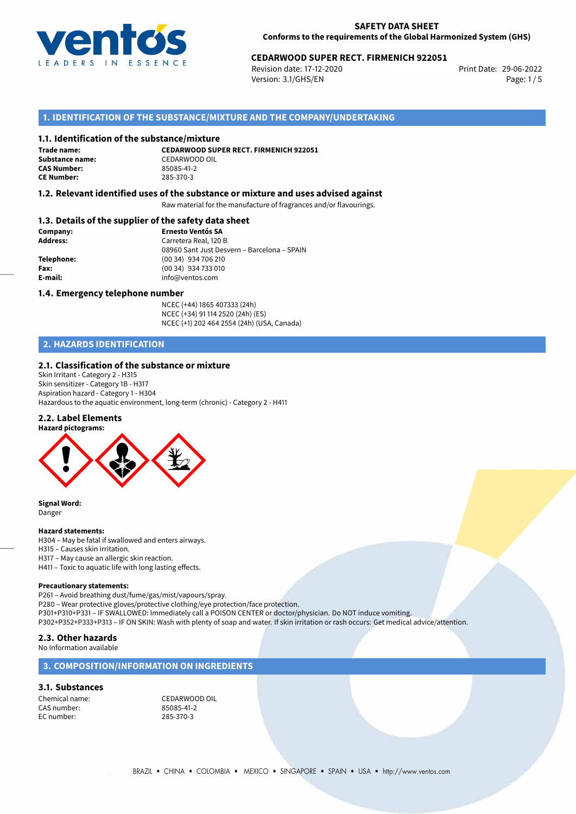

# 29-06-2022 **CEDARWOOD SUPER RECT. FIRMENICH 922051**

Revision date: 17-12-2020 Version: 3.1/GHS/EN Page: 1 / 5

## **1. IDENTIFICATION OF THE SUBSTANCE/MIXTURE AND THE COMPANY/UNDERTAKING**

#### **1.1. Identification of the substance/mixture**

**Trade name: CAS Number: CE Number:** 285-370-3

**CEDARWOOD SUPER RECT. FIRMENICH 922051 Substance name:** CEDARWOOD OIL<br> **CAS Number:** 85085-41-2

### **1.2. Relevant identified uses of the substance or mixture and uses advised against**

Raw material for the manufacture of fragrances and/or flavourings.

## **1.3. Details of the supplier of the safety data sheet**

| Company:        | <b>Ernesto Ventós SA</b>                    |  |
|-----------------|---------------------------------------------|--|
| <b>Address:</b> | Carretera Real, 120 B                       |  |
|                 | 08960 Sant Just Desvern - Barcelona - SPAIN |  |
| Telephone:      | (00 34) 934 706 210                         |  |
| Fax:            | (00 34) 934 733 010                         |  |
| E-mail:         | info@ventos.com                             |  |
|                 |                                             |  |

#### **1.4. Emergency telephone number**

NCEC (+44) 1865 407333 (24h) NCEC (+34) 91 114 2520 (24h) (ES) NCEC (+1) 202 464 2554 (24h) (USA, Canada)

# **2. HAZARDS IDENTIFICATION**

#### **2.1. Classification of the substance or mixture**

Skin Irritant - Category 2 - H315 Skin sensitizer - Category 1B - H317 Aspiration hazard - Category 1 - H304 Hazardous to the aquatic environment, long-term (chronic) - Category 2 - H411

#### **2.2. Label Elements**



**Signal Word:** Danger

#### **Hazard statements:**

H304 – May be fatal if swallowed and enters airways.

- H315 Causes skin irritation.
- H317 May cause an allergic skin reaction.
- H411 Toxic to aquatic life with long lasting effects.

#### **Precautionary statements:**

P261 – Avoid breathing dust/fume/gas/mist/vapours/spray.

P280 – Wear protective gloves/protective clothing/eye protection/face protection. P301+P310+P331 – IF SWALLOWED: Immediately call a POISON CENTER or doctor/physician. Do NOT induce vomiting.

P302+P352+P333+P313 – IF ON SKIN: Wash with plenty of soap and water. If skin irritation or rash occurs: Get medical advice/attention.

#### **2.3. Other hazards**

No Information available

## **3. COMPOSITION/INFORMATION ON INGREDIENTS**

#### **3.1. Substances**

CAS number: 85085-41-2<br>EC number: 285-370-3 EC number:

Chemical name: CEDARWOOD OIL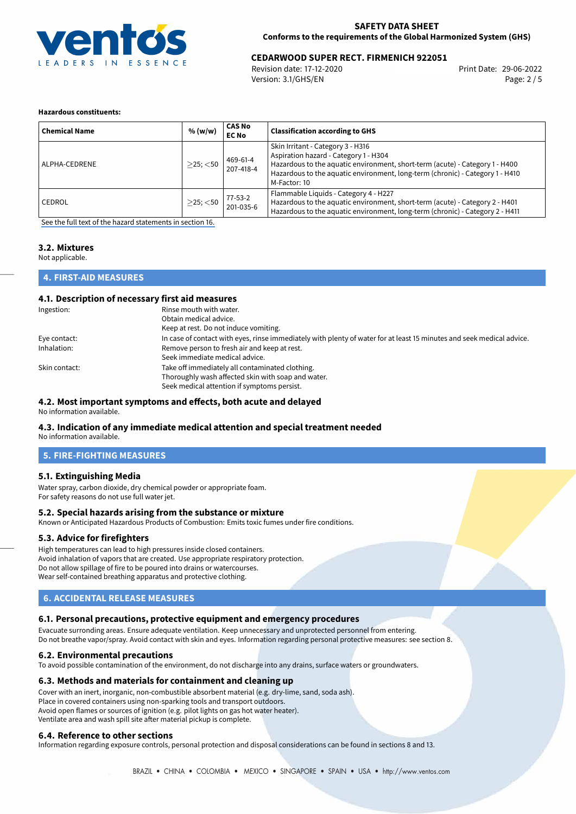

# 29-06-2022 **CEDARWOOD SUPER RECT. FIRMENICH 922051**

Revision date: 17-12-2020 Version: 3.1/GHS/EN Page: 2 / 5

#### **Hazardous constituents:**

| <b>Chemical Name</b> | % (w/w)        | <b>CAS No</b><br><b>EC No</b> | <b>Classification according to GHS</b>                                                                                                                                                                                                                      |
|----------------------|----------------|-------------------------------|-------------------------------------------------------------------------------------------------------------------------------------------------------------------------------------------------------------------------------------------------------------|
| ALPHA-CEDRENE        | $>$ 25; $<$ 50 | 469-61-4<br>207-418-4         | Skin Irritant - Category 3 - H316<br>Aspiration hazard - Category 1 - H304<br>Hazardous to the aquatic environment, short-term (acute) - Category 1 - H400<br>Hazardous to the aquatic environment, long-term (chronic) - Category 1 - H410<br>M-Factor: 10 |
| l CEDROL             | $>$ 25; $<$ 50 | 77-53-2<br>201-035-6          | Flammable Liquids - Category 4 - H227<br>Hazardous to the aquatic environment, short-term (acute) - Category 2 - H401<br>Hazardous to the aquatic environment, long-term (chronic) - Category 2 - H411                                                      |

[See the full text of the hazard statements in section 16.](#page-4-0)

# **3.2. Mixtures**

Not applicable.

# **4. FIRST-AID MEASURES**

#### **4.1. Description of necessary first aid measures**

| Ingestion:    | Rinse mouth with water.                                                                                               |
|---------------|-----------------------------------------------------------------------------------------------------------------------|
|               | Obtain medical advice.                                                                                                |
|               | Keep at rest. Do not induce vomiting.                                                                                 |
| Eye contact:  | In case of contact with eyes, rinse immediately with plenty of water for at least 15 minutes and seek medical advice. |
| Inhalation:   | Remove person to fresh air and keep at rest.                                                                          |
|               | Seek immediate medical advice.                                                                                        |
| Skin contact: | Take off immediately all contaminated clothing.                                                                       |
|               | Thoroughly wash affected skin with soap and water.                                                                    |
|               | Seek medical attention if symptoms persist.                                                                           |

#### **4.2. Most important symptoms and effects, both acute and delayed**

No information available.

#### **4.3. Indication of any immediate medical attention and special treatment needed** No information available.

**5. FIRE-FIGHTING MEASURES**

## **5.1. Extinguishing Media**

Water spray, carbon dioxide, dry chemical powder or appropriate foam. For safety reasons do not use full water jet.

### **5.2. Special hazards arising from the substance or mixture**

Known or Anticipated Hazardous Products of Combustion: Emits toxic fumes under fire conditions.

#### **5.3. Advice for firefighters**

High temperatures can lead to high pressures inside closed containers. Avoid inhalation of vapors that are created. Use appropriate respiratory protection. Do not allow spillage of fire to be poured into drains or watercourses. Wear self-contained breathing apparatus and protective clothing.

# **6. ACCIDENTAL RELEASE MEASURES**

#### **6.1. Personal precautions, protective equipment and emergency procedures**

Evacuate surronding areas. Ensure adequate ventilation. Keep unnecessary and unprotected personnel from entering. Do not breathe vapor/spray. Avoid contact with skin and eyes. Information regarding personal protective measures: see section 8.

#### **6.2. Environmental precautions**

To avoid possible contamination of the environment, do not discharge into any drains, surface waters or groundwaters.

#### **6.3. Methods and materials for containment and cleaning up**

Cover with an inert, inorganic, non-combustible absorbent material (e.g. dry-lime, sand, soda ash). Place in covered containers using non-sparking tools and transport outdoors. Avoid open flames or sources of ignition (e.g. pilot lights on gas hot water heater). Ventilate area and wash spill site after material pickup is complete.

#### **6.4. Reference to other sections**

Information regarding exposure controls, personal protection and disposal considerations can be found in sections 8 and 13.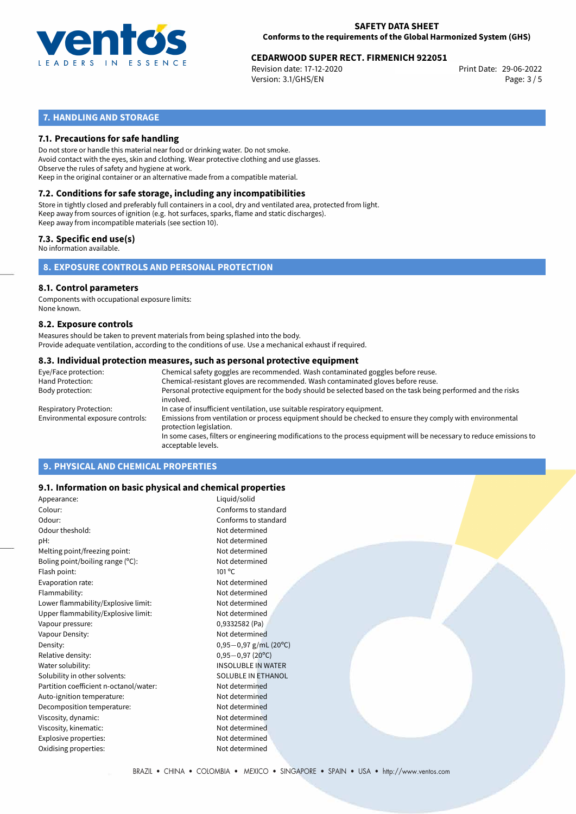

# 29-06-2022 **CEDARWOOD SUPER RECT. FIRMENICH 922051**

Revision date: 17-12-2020 Version: 3.1/GHS/EN Page: 3 / 5

# **7. HANDLING AND STORAGE**

## **7.1. Precautions for safe handling**

Do not store or handle this material near food or drinking water. Do not smoke. Avoid contact with the eyes, skin and clothing. Wear protective clothing and use glasses. Observe the rules of safety and hygiene at work. Keep in the original container or an alternative made from a compatible material.

# **7.2. Conditions for safe storage, including any incompatibilities**

Store in tightly closed and preferably full containers in a cool, dry and ventilated area, protected from light. Keep away from sources of ignition (e.g. hot surfaces, sparks, flame and static discharges). Keep away from incompatible materials (see section 10).

### **7.3. Specific end use(s)**

No information available.

**8. EXPOSURE CONTROLS AND PERSONAL PROTECTION**

#### **8.1. Control parameters**

Components with occupational exposure limits: None known.

#### **8.2. Exposure controls**

Measures should be taken to prevent materials from being splashed into the body. Provide adequate ventilation, according to the conditions of use. Use a mechanical exhaust if required.

#### **8.3. Individual protection measures, such as personal protective equipment**

| Eye/Face protection:             | Chemical safety goggles are recommended. Wash contaminated goggles before reuse.                                                            |
|----------------------------------|---------------------------------------------------------------------------------------------------------------------------------------------|
| Hand Protection:                 | Chemical-resistant gloves are recommended. Wash contaminated gloves before reuse.                                                           |
| Body protection:                 | Personal protective equipment for the body should be selected based on the task being performed and the risks<br>involved.                  |
| Respiratory Protection:          | In case of insufficient ventilation, use suitable respiratory equipment.                                                                    |
| Environmental exposure controls: | Emissions from ventilation or process equipment should be checked to ensure they comply with environmental<br>protection legislation.       |
|                                  | In some cases, filters or engineering modifications to the process equipment will be necessary to reduce emissions to<br>acceptable levels. |
|                                  |                                                                                                                                             |

# **9. PHYSICAL AND CHEMICAL PROPERTIES**

## **9.1. Information on basic physical and chemical properties**

| Appearance:                            | Liquid/solid              |
|----------------------------------------|---------------------------|
| Colour:                                | Conforms to standard      |
| Odour:                                 | Conforms to standard      |
| Odour theshold:                        | Not determined            |
| pH:                                    | Not determined            |
| Melting point/freezing point:          | Not determined            |
| Boling point/boiling range (°C):       | Not determined            |
| Flash point:                           | $101^{\circ}$ C           |
| Evaporation rate:                      | Not determined            |
| Flammability:                          | Not determined            |
| Lower flammability/Explosive limit:    | Not determined            |
| Upper flammability/Explosive limit:    | Not determined            |
| Vapour pressure:                       | 0,9332582 (Pa)            |
| Vapour Density:                        | Not determined            |
| Density:                               | $0,95-0,97$ g/mL (20°C)   |
| Relative density:                      | $0,95-0,97(20^{\circ}C)$  |
| Water solubility:                      | <b>INSOLUBLE IN WATER</b> |
| Solubility in other solvents:          | <b>SOLUBLE IN ETHANOL</b> |
| Partition coefficient n-octanol/water: | Not determined            |
| Auto-ignition temperature:             | Not determined            |
| Decomposition temperature:             | Not determined            |
| Viscosity, dynamic:                    | Not determined            |
| Viscosity, kinematic:                  | Not determined            |
| Explosive properties:                  | Not determined            |
| Oxidising properties:                  | Not determined            |
|                                        |                           |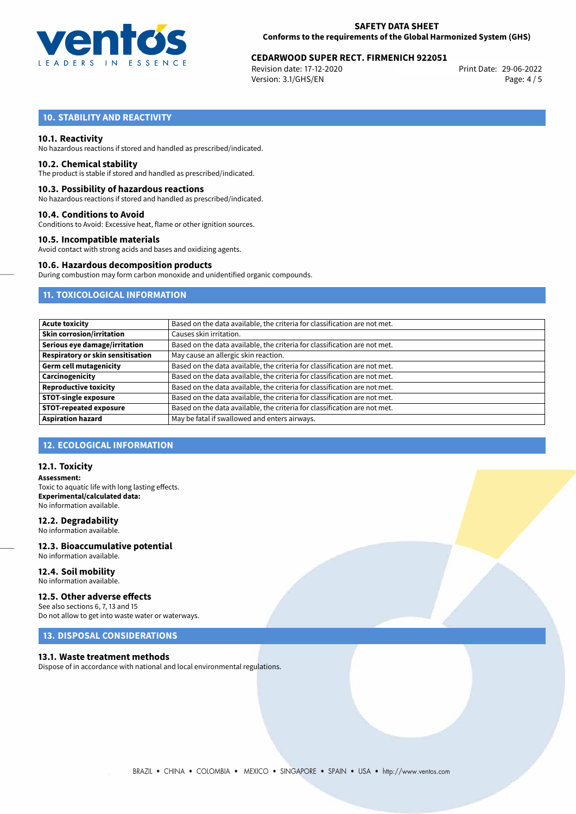

# 29-06-2022 **CEDARWOOD SUPER RECT. FIRMENICH 922051**

Revision date: 17-12-2020 Version: 3.1/GHS/EN Page: 4 / 5

# **10. STABILITY AND REACTIVITY**

#### **10.1. Reactivity**

No hazardous reactions if stored and handled as prescribed/indicated.

#### **10.2. Chemical stability**

The product is stable if stored and handled as prescribed/indicated.

#### **10.3. Possibility of hazardous reactions**

No hazardous reactions if stored and handled as prescribed/indicated.

#### **10.4. Conditions to Avoid**

Conditions to Avoid: Excessive heat, flame or other ignition sources.

#### **10.5. Incompatible materials**

Avoid contact with strong acids and bases and oxidizing agents.

## **10.6. Hazardous decomposition products**

During combustion may form carbon monoxide and unidentified organic compounds.

## **11. TOXICOLOGICAL INFORMATION**

| <b>Acute toxicity</b>                    | Based on the data available, the criteria for classification are not met. |
|------------------------------------------|---------------------------------------------------------------------------|
| <b>Skin corrosion/irritation</b>         | Causes skin irritation.                                                   |
| Serious eye damage/irritation            | Based on the data available, the criteria for classification are not met. |
| <b>Respiratory or skin sensitisation</b> | May cause an allergic skin reaction.                                      |
| <b>Germ cell mutagenicity</b>            | Based on the data available, the criteria for classification are not met. |
| Carcinogenicity                          | Based on the data available, the criteria for classification are not met. |
| <b>Reproductive toxicity</b>             | Based on the data available, the criteria for classification are not met. |
| <b>STOT-single exposure</b>              | Based on the data available, the criteria for classification are not met. |
| <b>STOT-repeated exposure</b>            | Based on the data available, the criteria for classification are not met. |
| <b>Aspiration hazard</b>                 | May be fatal if swallowed and enters airways.                             |

# **12. ECOLOGICAL INFORMATION**

#### **12.1. Toxicity**

**Assessment:** Toxic to aquatic life with long lasting effects. **Experimental/calculated data:** No information available.

## **12.2. Degradability**

No information available.

#### **12.3. Bioaccumulative potential** No information available.

**12.4. Soil mobility** No information available.

## **12.5. Other adverse effects**

See also sections 6, 7, 13 and 15 Do not allow to get into waste water or waterways.

# **13. DISPOSAL CONSIDERATIONS**

#### **13.1. Waste treatment methods**

Dispose of in accordance with national and local environmental regulations.